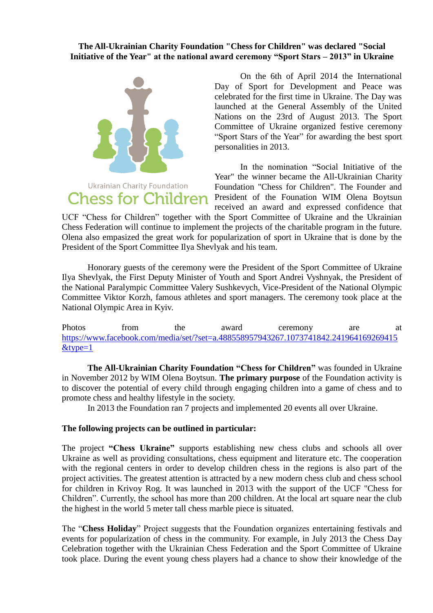## **The All-Ukrainian Charity Foundation "Chess for Children" was declared "Social Initiative of the Year" at the national award ceremony "Sport Stars – 2013" in Ukraine**



Ukrainian Charity Foundation **Chess for Children** 

On the 6th of April 2014 the International Day of Sport for Development and Peace was celebrated for the first time in Ukraine. The Day was launched at the General Assembly of the United Nations on the 23rd of August 2013. The Sport Committee of Ukraine organized festive ceremony "Sport Stars of the Year" for awarding the best sport personalities in 2013.

In the nomination "Social Initiative of the Year" the winner became the All-Ukrainian Charity Foundation "Chess for Children". The Founder and President of the Founation WIM Olena Boytsun received an award and expressed confidence that

UCF "Chess for Children" together with the Sport Committee of Ukraine and the Ukrainian Chess Federation will continue to implement the projects of the charitable program in the future. Olena also empasized the great work for popularization of sport in Ukraine that is done by the President of the Sport Committee Ilya Shevlyak and his team.

Honorary guests of the ceremony were the President of the Sport Committee of Ukraine Ilya Shevlyak, the First Deputy Minister of Youth and Sport Andrei Vyshnyak, the President of the National Paralympic Committee Valery Sushkevych, Vice-President of the National Olympic Committee Viktor Korzh, famous athletes and sport managers. The ceremony took place at the National Olympic Area in Kyiv.

Photos from the award ceremony are at [https://www.facebook.com/media/set/?set=a.488558957943267.1073741842.241964169269415](https://www.facebook.com/media/set/?set=a.488558957943267.1073741842.241964169269415&type=1) [&type=1](https://www.facebook.com/media/set/?set=a.488558957943267.1073741842.241964169269415&type=1)

**The All-Ukrainian Charity Foundation "Chess for Children"** was founded in Ukraine in November 2012 by WIM Olena Boytsun. **The primary purpose** of the Foundation activity is to discover the potential of every child through engaging children into a game of chess and to promote chess and healthy lifestyle in the society.

In 2013 the Foundation ran 7 projects and implemented 20 events all over Ukraine.

## **The following projects can be outlined in particular:**

The project **"Chess Ukraine"** supports establishing new chess clubs and schools all over Ukraine as well as providing consultations, chess equipment and literature etc. The cooperation with the regional centers in order to develop children chess in the regions is also part of the project activities. The greatest attention is attracted by a new modern chess club and chess school for children in Krivoy Rog. It was launched in 2013 with the support of the UCF "Chess for Children". Currently, the school has more than 200 children. At the local art square near the club the highest in the world 5 meter tall chess marble piece is situated.

The "**Chess Holiday**" Project suggests that the Foundation organizes entertaining festivals and events for popularization of chess in the community. For example, in July 2013 the Chess Day Celebration together with the Ukrainian Chess Federation and the Sport Committee of Ukraine took place. During the event young chess players had a chance to show their knowledge of the